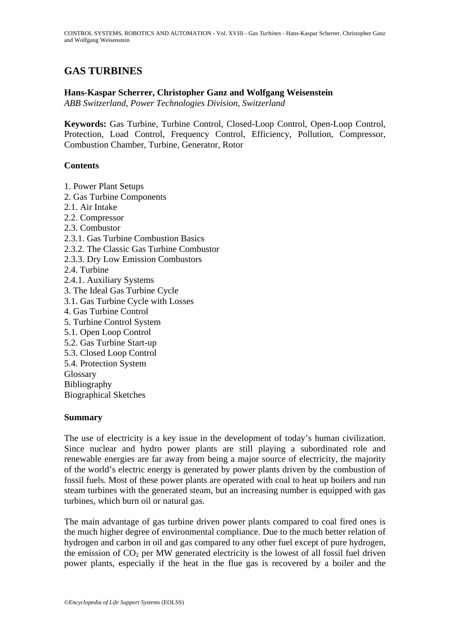# **GAS TURBINES**

## **Hans-Kaspar Scherrer, Christopher Ganz and Wolfgang Weisenstein**

*ABB Switzerland, Power Technologies Division, Switzerland*

**Keywords:** Gas Turbine, Turbine Control, Closed-Loop Control, Open-Loop Control, Protection, Load Control, Frequency Control, Efficiency, Pollution, Compressor, Combustion Chamber, Turbine, Generator, Rotor

#### **Contents**

- 1. Power Plant Setups
- 2. Gas Turbine Components
- 2.1. Air Intake
- 2.2. Compressor
- 2.3. Combustor
- 2.3.1. Gas Turbine Combustion Basics
- 2.3.2. The Classic Gas Turbine Combustor
- 2.3.3. Dry Low Emission Combustors
- 2.4. Turbine
- 2.4.1. Auxiliary Systems 3. The Ideal Gas Turbine Cycle 3.1. Gas Turbine Cycle with Losses
- 4. Gas Turbine Control
- 5. Turbine Control System
- 5.1. Open Loop Control
- 5.2. Gas Turbine Start-up
- 5.3. Closed Loop Control
- 5.4. Protection System
- Glossary
- Bibliography
- Biographical Sketches

#### **Summary**

The use of electricity is a key issue in the development of today's human civilization. Since nuclear and hydro power plants are still playing a subordinated role and renewable energies are far away from being a major source of electricity, the majority of the world's electric energy is generated by power plants driven by the combustion of fossil fuels. Most of these power plants are operated with coal to heat up boilers and run steam turbines with the generated steam, but an increasing number is equipped with gas turbines, which burn oil or natural gas.

The main advantage of gas turbine driven power plants compared to coal fired ones is the much higher degree of environmental compliance. Due to the much better relation of hydrogen and carbon in oil and gas compared to any other fuel except of pure hydrogen, the emission of  $CO<sub>2</sub>$  per MW generated electricity is the lowest of all fossil fuel driven power plants, especially if the heat in the flue gas is recovered by a boiler and the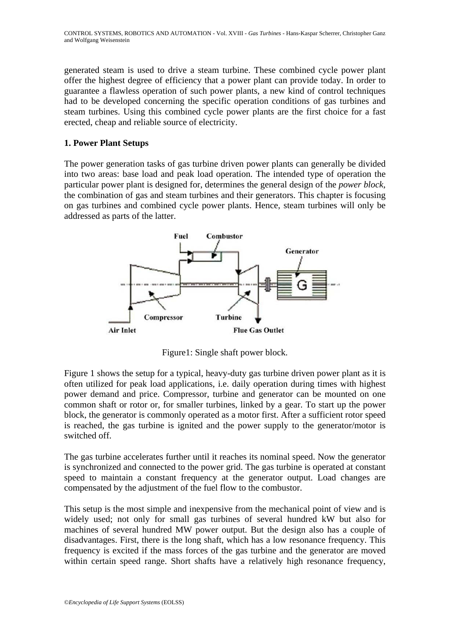generated steam is used to drive a steam turbine. These combined cycle power plant offer the highest degree of efficiency that a power plant can provide today. In order to guarantee a flawless operation of such power plants, a new kind of control techniques had to be developed concerning the specific operation conditions of gas turbines and steam turbines. Using this combined cycle power plants are the first choice for a fast erected, cheap and reliable source of electricity.

## **1. Power Plant Setups**

The power generation tasks of gas turbine driven power plants can generally be divided into two areas: base load and peak load operation. The intended type of operation the particular power plant is designed for, determines the general design of the *power block*, the combination of gas and steam turbines and their generators. This chapter is focusing on gas turbines and combined cycle power plants. Hence, steam turbines will only be addressed as parts of the latter.



Figure1: Single shaft power block.

Figure 1 shows the setup for a typical, heavy-duty gas turbine driven power plant as it is often utilized for peak load applications, i.e. daily operation during times with highest power demand and price. Compressor, turbine and generator can be mounted on one common shaft or rotor or, for smaller turbines, linked by a gear. To start up the power block, the generator is commonly operated as a motor first. After a sufficient rotor speed is reached, the gas turbine is ignited and the power supply to the generator/motor is switched off.

The gas turbine accelerates further until it reaches its nominal speed. Now the generator is synchronized and connected to the power grid. The gas turbine is operated at constant speed to maintain a constant frequency at the generator output. Load changes are compensated by the adjustment of the fuel flow to the combustor.

This setup is the most simple and inexpensive from the mechanical point of view and is widely used; not only for small gas turbines of several hundred kW but also for machines of several hundred MW power output. But the design also has a couple of disadvantages. First, there is the long shaft, which has a low resonance frequency. This frequency is excited if the mass forces of the gas turbine and the generator are moved within certain speed range. Short shafts have a relatively high resonance frequency,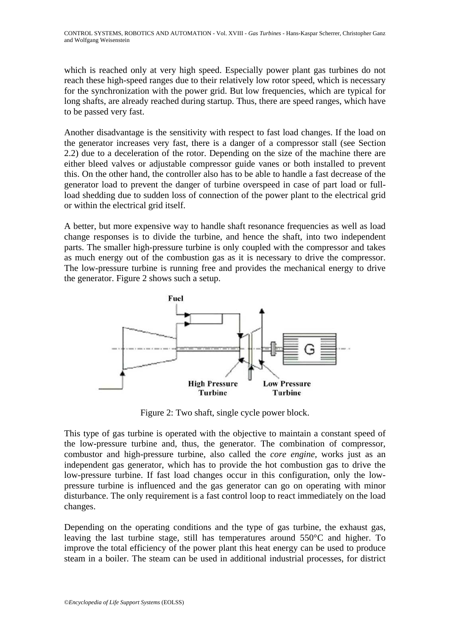which is reached only at very high speed. Especially power plant gas turbines do not reach these high-speed ranges due to their relatively low rotor speed, which is necessary for the synchronization with the power grid. But low frequencies, which are typical for long shafts, are already reached during startup. Thus, there are speed ranges, which have to be passed very fast.

Another disadvantage is the sensitivity with respect to fast load changes. If the load on the generator increases very fast, there is a danger of a compressor stall (see Section 2.2) due to a deceleration of the rotor. Depending on the size of the machine there are either bleed valves or adjustable compressor guide vanes or both installed to prevent this. On the other hand, the controller also has to be able to handle a fast decrease of the generator load to prevent the danger of turbine overspeed in case of part load or fullload shedding due to sudden loss of connection of the power plant to the electrical grid or within the electrical grid itself.

A better, but more expensive way to handle shaft resonance frequencies as well as load change responses is to divide the turbine, and hence the shaft, into two independent parts. The smaller high-pressure turbine is only coupled with the compressor and takes as much energy out of the combustion gas as it is necessary to drive the compressor. The low-pressure turbine is running free and provides the mechanical energy to drive the generator. Figure 2 shows such a setup.



Figure 2: Two shaft, single cycle power block.

This type of gas turbine is operated with the objective to maintain a constant speed of the low-pressure turbine and, thus, the generator. The combination of compressor, combustor and high-pressure turbine, also called the *core engine*, works just as an independent gas generator, which has to provide the hot combustion gas to drive the low-pressure turbine. If fast load changes occur in this configuration, only the lowpressure turbine is influenced and the gas generator can go on operating with minor disturbance. The only requirement is a fast control loop to react immediately on the load changes.

Depending on the operating conditions and the type of gas turbine, the exhaust gas, leaving the last turbine stage, still has temperatures around 550°C and higher. To improve the total efficiency of the power plant this heat energy can be used to produce steam in a boiler. The steam can be used in additional industrial processes, for district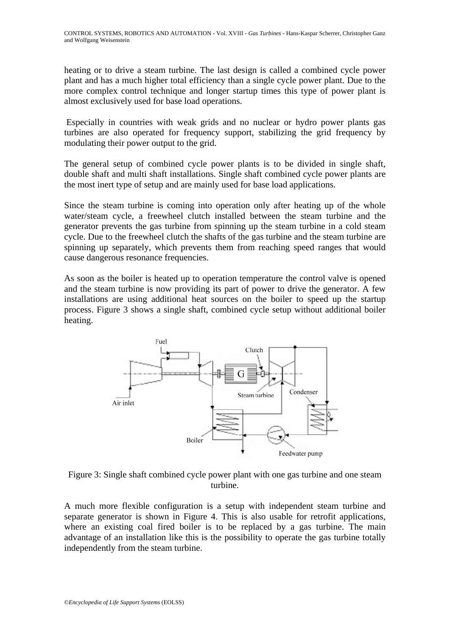heating or to drive a steam turbine. The last design is called a combined cycle power plant and has a much higher total efficiency than a single cycle power plant. Due to the more complex control technique and longer startup times this type of power plant is almost exclusively used for base load operations.

 Especially in countries with weak grids and no nuclear or hydro power plants gas turbines are also operated for frequency support, stabilizing the grid frequency by modulating their power output to the grid.

The general setup of combined cycle power plants is to be divided in single shaft, double shaft and multi shaft installations. Single shaft combined cycle power plants are the most inert type of setup and are mainly used for base load applications.

Since the steam turbine is coming into operation only after heating up of the whole water/steam cycle, a freewheel clutch installed between the steam turbine and the generator prevents the gas turbine from spinning up the steam turbine in a cold steam cycle. Due to the freewheel clutch the shafts of the gas turbine and the steam turbine are spinning up separately, which prevents them from reaching speed ranges that would cause dangerous resonance frequencies.

As soon as the boiler is heated up to operation temperature the control valve is opened and the steam turbine is now providing its part of power to drive the generator. A few installations are using additional heat sources on the boiler to speed up the startup process. Figure 3 shows a single shaft, combined cycle setup without additional boiler heating.



Figure 3: Single shaft combined cycle power plant with one gas turbine and one steam turbine.

A much more flexible configuration is a setup with independent steam turbine and separate generator is shown in Figure 4. This is also usable for retrofit applications, where an existing coal fired boiler is to be replaced by a gas turbine. The main advantage of an installation like this is the possibility to operate the gas turbine totally independently from the steam turbine.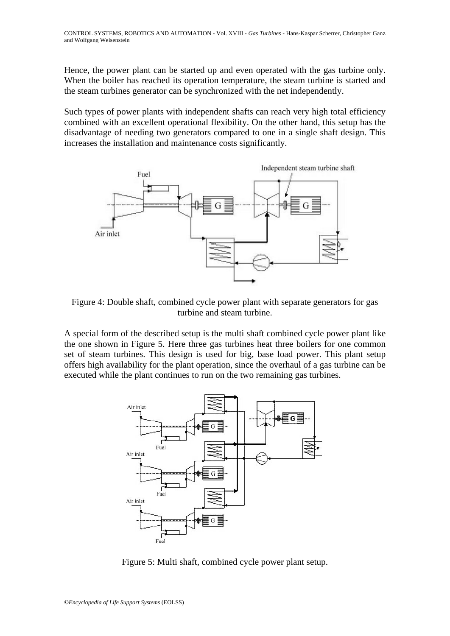Hence, the power plant can be started up and even operated with the gas turbine only. When the boiler has reached its operation temperature, the steam turbine is started and the steam turbines generator can be synchronized with the net independently.

Such types of power plants with independent shafts can reach very high total efficiency combined with an excellent operational flexibility. On the other hand, this setup has the disadvantage of needing two generators compared to one in a single shaft design. This increases the installation and maintenance costs significantly.



Figure 4: Double shaft, combined cycle power plant with separate generators for gas turbine and steam turbine.

A special form of the described setup is the multi shaft combined cycle power plant like the one shown in Figure 5. Here three gas turbines heat three boilers for one common set of steam turbines. This design is used for big, base load power. This plant setup offers high availability for the plant operation, since the overhaul of a gas turbine can be executed while the plant continues to run on the two remaining gas turbines.



Figure 5: Multi shaft, combined cycle power plant setup.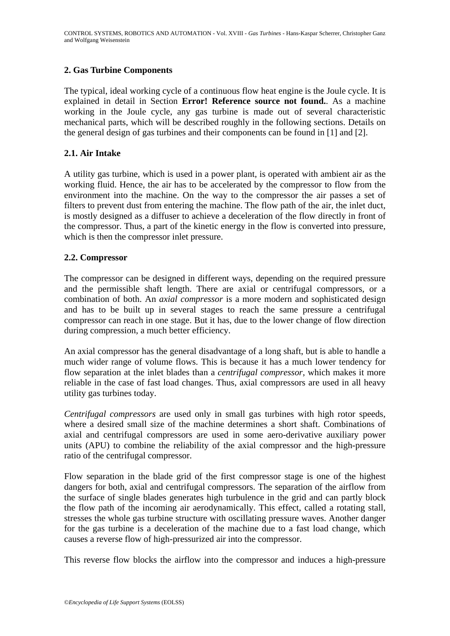## **2. Gas Turbine Components**

The typical, ideal working cycle of a continuous flow heat engine is the Joule cycle. It is explained in detail in Section **Error! Reference source not found.**. As a machine working in the Joule cycle, any gas turbine is made out of several characteristic mechanical parts, which will be described roughly in the following sections. Details on the general design of gas turbines and their components can be found in [1] and [2].

## **2.1. Air Intake**

A utility gas turbine, which is used in a power plant, is operated with ambient air as the working fluid. Hence, the air has to be accelerated by the compressor to flow from the environment into the machine. On the way to the compressor the air passes a set of filters to prevent dust from entering the machine. The flow path of the air, the inlet duct, is mostly designed as a diffuser to achieve a deceleration of the flow directly in front of the compressor. Thus, a part of the kinetic energy in the flow is converted into pressure, which is then the compressor inlet pressure.

## **2.2. Compressor**

The compressor can be designed in different ways, depending on the required pressure and the permissible shaft length. There are axial or centrifugal compressors, or a combination of both. An *axial compressor* is a more modern and sophisticated design and has to be built up in several stages to reach the same pressure a centrifugal compressor can reach in one stage. But it has, due to the lower change of flow direction during compression, a much better efficiency.

An axial compressor has the general disadvantage of a long shaft, but is able to handle a much wider range of volume flows. This is because it has a much lower tendency for flow separation at the inlet blades than a *centrifugal compressor*, which makes it more reliable in the case of fast load changes. Thus, axial compressors are used in all heavy utility gas turbines today.

*Centrifugal compressors* are used only in small gas turbines with high rotor speeds, where a desired small size of the machine determines a short shaft. Combinations of axial and centrifugal compressors are used in some aero-derivative auxiliary power units (APU) to combine the reliability of the axial compressor and the high-pressure ratio of the centrifugal compressor.

Flow separation in the blade grid of the first compressor stage is one of the highest dangers for both, axial and centrifugal compressors. The separation of the airflow from the surface of single blades generates high turbulence in the grid and can partly block the flow path of the incoming air aerodynamically. This effect, called a rotating stall, stresses the whole gas turbine structure with oscillating pressure waves. Another danger for the gas turbine is a deceleration of the machine due to a fast load change, which causes a reverse flow of high-pressurized air into the compressor.

This reverse flow blocks the airflow into the compressor and induces a high-pressure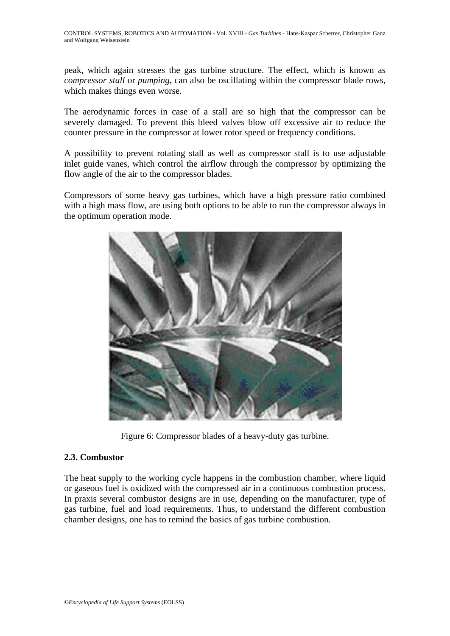peak, which again stresses the gas turbine structure. The effect, which is known as *compressor stall* or *pumping*, can also be oscillating within the compressor blade rows, which makes things even worse.

The aerodynamic forces in case of a stall are so high that the compressor can be severely damaged. To prevent this bleed valves blow off excessive air to reduce the counter pressure in the compressor at lower rotor speed or frequency conditions.

A possibility to prevent rotating stall as well as compressor stall is to use adjustable inlet guide vanes, which control the airflow through the compressor by optimizing the flow angle of the air to the compressor blades.

Compressors of some heavy gas turbines, which have a high pressure ratio combined with a high mass flow, are using both options to be able to run the compressor always in the optimum operation mode.



Figure 6: Compressor blades of a heavy-duty gas turbine.

## **2.3. Combustor**

The heat supply to the working cycle happens in the combustion chamber, where liquid or gaseous fuel is oxidized with the compressed air in a continuous combustion process. In praxis several combustor designs are in use, depending on the manufacturer, type of gas turbine, fuel and load requirements. Thus, to understand the different combustion chamber designs, one has to remind the basics of gas turbine combustion.